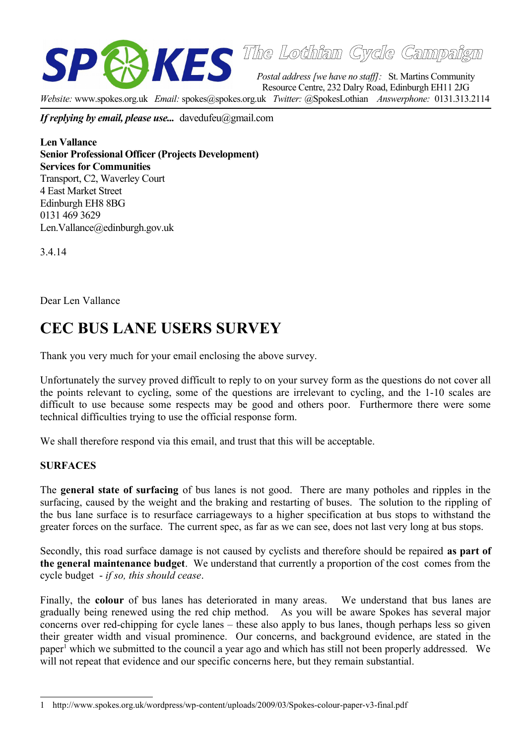

**The Lothian Cycle Campaign**

*Postal address [we have no staff]:* St. Martins Community Resource Centre, 232 Dalry Road, Edinburgh EH11 2JG *Website:* www.spokes.org.uk *Email:* spokes@spokes.org.uk *Twitter:* @SpokesLothian *Answerphone:* 0131.313.2114

*If replying by email, please use...* davedufeu@gmail.com

**Len Vallance Senior Professional Officer (Projects Development) Services for Communities** Transport, C2, Waverley Court 4 East Market Street Edinburgh EH8 8BG 0131 469 3629 Len.Vallance@edinburgh.gov.uk

3.4.14

Dear Len Vallance

# **CEC BUS LANE USERS SURVEY**

Thank you very much for your email enclosing the above survey.

Unfortunately the survey proved difficult to reply to on your survey form as the questions do not cover all the points relevant to cycling, some of the questions are irrelevant to cycling, and the 1-10 scales are difficult to use because some respects may be good and others poor. Furthermore there were some technical difficulties trying to use the official response form.

We shall therefore respond via this email, and trust that this will be acceptable.

#### **SURFACES**

The **general state of surfacing** of bus lanes is not good. There are many potholes and ripples in the surfacing, caused by the weight and the braking and restarting of buses. The solution to the rippling of the bus lane surface is to resurface carriageways to a higher specification at bus stops to withstand the greater forces on the surface. The current spec, as far as we can see, does not last very long at bus stops.

Secondly, this road surface damage is not caused by cyclists and therefore should be repaired **as part of the general maintenance budget**. We understand that currently a proportion of the cost comes from the cycle budget - *if so, this should cease*.

Finally, the **colour** of bus lanes has deteriorated in many areas. We understand that bus lanes are gradually being renewed using the red chip method. As you will be aware Spokes has several major concerns over red-chipping for cycle lanes – these also apply to bus lanes, though perhaps less so given their greater width and visual prominence. Our concerns, and background evidence, are stated in the paper<sup>[1](#page-0-0)</sup> which we submitted to the council a year ago and which has still not been properly addressed. We will not repeat that evidence and our specific concerns here, but they remain substantial.

<span id="page-0-0"></span><sup>1</sup> http://www.spokes.org.uk/wordpress/wp-content/uploads/2009/03/Spokes-colour-paper-v3-final.pdf